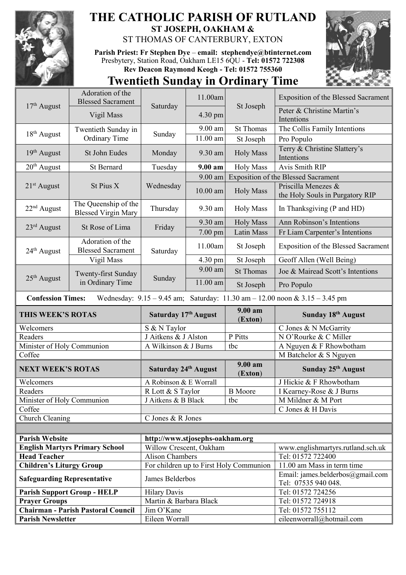

## **THE CATHOLIC PARISH OF RUTLAND ST JOSEPH, OAKHAM &**  ST THOMAS OF CANTERBURY, EXTON

**Parish Priest: Fr Stephen Dye** – **[email: stephendye@btinternet.com](mailto:email:%20%20stephendye@btinternet.com)** Presbytery, Station Road, Oakham LE15 6QU - **Tel: 01572 722308 Rev Deacon Raymond Keogh - Tel: 01572 755360**



## **Twentieth Sunday in Ordinary Time**

| $17th$ August                                                         | Adoration of the<br><b>Blessed Sacrament</b>       | Saturday                        | 11.00am    | St Joseph                               | <b>Exposition of the Blessed Sacrament</b>                                          |
|-----------------------------------------------------------------------|----------------------------------------------------|---------------------------------|------------|-----------------------------------------|-------------------------------------------------------------------------------------|
|                                                                       | Vigil Mass                                         |                                 | 4.30 pm    |                                         | Peter & Christine Martin's<br>Intentions                                            |
| 18 <sup>th</sup> August                                               | Twentieth Sunday in<br>Ordinary Time               | Sunday                          | 9.00 am    | <b>St Thomas</b>                        | The Collis Family Intentions                                                        |
|                                                                       |                                                    |                                 | 11.00 am   | St Joseph                               | Pro Populo                                                                          |
| $19th$ August                                                         | St John Eudes                                      | Monday                          | 9.30 am    | <b>Holy Mass</b>                        | Terry & Christine Slattery's<br>Intentions                                          |
| $20th$ August                                                         | St Bernard                                         | Tuesday                         | 9.00 am    | <b>Holy Mass</b>                        | <b>Avis Smith RIP</b>                                                               |
|                                                                       | St Pius X                                          | Wednesday                       | 9.00 am    |                                         | <b>Exposition of the Blessed Sacrament</b>                                          |
| $21st$ August                                                         |                                                    |                                 | $10.00$ am | <b>Holy Mass</b>                        | Priscilla Menezes &<br>the Holy Souls in Purgatory RIP                              |
| 22 <sup>nd</sup> August                                               | The Queenship of the<br><b>Blessed Virgin Mary</b> | Thursday                        | 9.30 am    | <b>Holy Mass</b>                        | In Thanksgiving (P and HD)                                                          |
| $23rd$ August                                                         | St Rose of Lima                                    | Friday                          | 9.30 am    | <b>Holy Mass</b>                        | Ann Robinson's Intentions                                                           |
|                                                                       |                                                    |                                 | 7.00 pm    | Latin Mass                              | Fr Liam Carpenter's Intentions                                                      |
| $24th$ August                                                         | Adoration of the<br><b>Blessed Sacrament</b>       | Saturday                        | 11.00am    | St Joseph                               | <b>Exposition of the Blessed Sacrament</b>                                          |
|                                                                       | Vigil Mass                                         |                                 | 4.30 pm    | St Joseph                               | Geoff Allen (Well Being)                                                            |
|                                                                       | Twenty-first Sunday<br>in Ordinary Time            | Sunday                          | 9.00 am    | <b>St Thomas</b>                        | Joe & Mairead Scott's Intentions                                                    |
| $25th$ August                                                         |                                                    |                                 | $11.00$ am | St Joseph                               | Pro Populo                                                                          |
| <b>Confession Times:</b>                                              |                                                    |                                 |            |                                         | Wednesday: $9.15 - 9.45$ am; Saturday: $11.30$ am $- 12.00$ noon & $3.15 - 3.45$ pm |
| <b>THIS WEEK'S ROTAS</b>                                              |                                                    | Saturday 17th August            |            |                                         |                                                                                     |
|                                                                       |                                                    |                                 |            | 9.00 am                                 | Sunday 18th August                                                                  |
| Welcomers                                                             |                                                    | S & N Taylor                    |            | (Exton)                                 | C Jones & N McGarrity                                                               |
| Readers                                                               |                                                    | J Aitkens & J Alston            |            | P Pitts                                 | N O'Rourke & C Miller                                                               |
| Minister of Holy Communion                                            |                                                    | A Wilkinson & J Burns           |            | tbc                                     | A Nguyen & F Rhowbotham                                                             |
| Coffee                                                                |                                                    |                                 |            |                                         | M Batchelor & S Nguyen                                                              |
| <b>NEXT WEEK'S ROTAS</b>                                              |                                                    | Saturday 24th August            |            | 9.00 am<br>(Exton)                      | Sunday 25th August                                                                  |
| Welcomers                                                             |                                                    | A Robinson & E Worrall          |            |                                         | J Hickie & F Rhowbotham                                                             |
| Readers                                                               |                                                    | R Lott & S Taylor               |            | <b>B</b> Moore                          | I Kearney-Rose & J Burns                                                            |
| Minister of Holy Communion                                            |                                                    | J Aitkens & B Black             |            | tbc                                     | M Mildner & M Port                                                                  |
| Coffee                                                                |                                                    |                                 |            |                                         | C Jones & H Davis                                                                   |
| Church Cleaning                                                       |                                                    | C Jones & R Jones               |            |                                         |                                                                                     |
|                                                                       |                                                    |                                 |            |                                         |                                                                                     |
| <b>Parish Website</b>                                                 |                                                    | http://www.stjosephs-oakham.org |            |                                         |                                                                                     |
|                                                                       | <b>English Martyrs Primary School</b>              | Willow Crescent, Oakham         |            |                                         | www.englishmartyrs.rutland.sch.uk                                                   |
| <b>Head Teacher</b>                                                   |                                                    | <b>Alison Chambers</b>          |            |                                         | Tel: 01572 722400<br>11.00 am Mass in term time                                     |
| <b>Children's Liturgy Group</b><br><b>Safeguarding Representative</b> |                                                    | James Belderbos                 |            | For children up to First Holy Communion | Email: james.belderbos@gmail.com<br>Tel: 07535 940 048.                             |
|                                                                       | <b>Parish Support Group - HELP</b>                 | <b>Hilary Davis</b>             |            |                                         | Tel: 01572 724256                                                                   |
| <b>Prayer Groups</b>                                                  |                                                    | Martin & Barbara Black          |            |                                         | Tel: 01572 724918                                                                   |
|                                                                       | <b>Chairman - Parish Pastoral Council</b>          | Jim O'Kane                      |            |                                         | Tel: 01572 755112                                                                   |